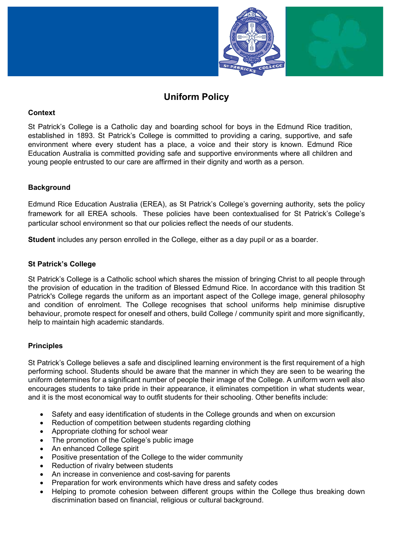

# Uniform Policy

## **Context**

St Patrick's College is a Catholic day and boarding school for boys in the Edmund Rice tradition, established in 1893. St Patrick's College is committed to providing a caring, supportive, and safe environment where every student has a place, a voice and their story is known. Edmund Rice Education Australia is committed providing safe and supportive environments where all children and young people entrusted to our care are affirmed in their dignity and worth as a person.

## **Background**

Edmund Rice Education Australia (EREA), as St Patrick's College's governing authority, sets the policy framework for all EREA schools. These policies have been contextualised for St Patrick's College's particular school environment so that our policies reflect the needs of our students.

Student includes any person enrolled in the College, either as a day pupil or as a boarder.

## St Patrick's College

St Patrick's College is a Catholic school which shares the mission of bringing Christ to all people through the provision of education in the tradition of Blessed Edmund Rice. In accordance with this tradition St Patrick's College regards the uniform as an important aspect of the College image, general philosophy and condition of enrolment. The College recognises that school uniforms help minimise disruptive behaviour, promote respect for oneself and others, build College / community spirit and more significantly, help to maintain high academic standards.

## **Principles**

St Patrick's College believes a safe and disciplined learning environment is the first requirement of a high performing school. Students should be aware that the manner in which they are seen to be wearing the uniform determines for a significant number of people their image of the College. A uniform worn well also encourages students to take pride in their appearance, it eliminates competition in what students wear, and it is the most economical way to outfit students for their schooling. Other benefits include:

- Safety and easy identification of students in the College grounds and when on excursion
- Reduction of competition between students regarding clothing
- Appropriate clothing for school wear
- The promotion of the College's public image
- An enhanced College spirit
- Positive presentation of the College to the wider community
- Reduction of rivalry between students
- An increase in convenience and cost-saving for parents
- Preparation for work environments which have dress and safety codes
- Helping to promote cohesion between different groups within the College thus breaking down discrimination based on financial, religious or cultural background.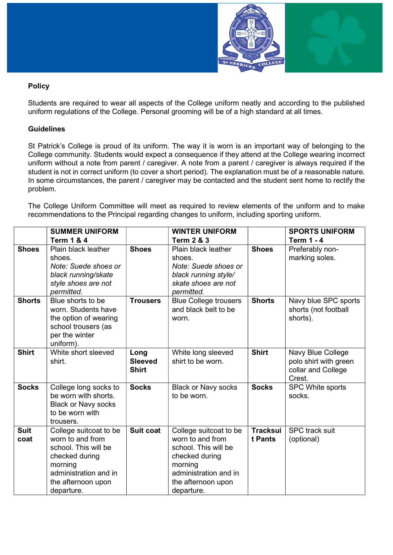

# Policy

Students are required to wear all aspects of the College uniform neatly and according to the published uniform regulations of the College. Personal grooming will be of a high standard at all times.

## **Guidelines**

St Patrick's College is proud of its uniform. The way it is worn is an important way of belonging to the College community. Students would expect a consequence if they attend at the College wearing incorrect uniform without a note from parent / caregiver. A note from a parent / caregiver is always required if the student is not in correct uniform (to cover a short period). The explanation must be of a reasonable nature. In some circumstances, the parent / caregiver may be contacted and the student sent home to rectify the problem.

The College Uniform Committee will meet as required to review elements of the uniform and to make recommendations to the Principal regarding changes to uniform, including sporting uniform.

|                     | <b>SUMMER UNIFORM</b>                                                                                                                                        |                                        | <b>WINTER UNIFORM</b>                                                                                                                                        |                            | <b>SPORTS UNIFORM</b>                                                      |
|---------------------|--------------------------------------------------------------------------------------------------------------------------------------------------------------|----------------------------------------|--------------------------------------------------------------------------------------------------------------------------------------------------------------|----------------------------|----------------------------------------------------------------------------|
|                     | <b>Term 1 &amp; 4</b>                                                                                                                                        |                                        | <b>Term 2 &amp; 3</b>                                                                                                                                        |                            | <b>Term 1 - 4</b>                                                          |
| <b>Shoes</b>        | Plain black leather<br>shoes.<br>Note: Suede shoes or<br>black running/skate<br>style shoes are not<br>permitted.                                            | <b>Shoes</b>                           | Plain black leather<br>shoes.<br>Note: Suede shoes or<br>black running style/<br>skate shoes are not<br>permitted.                                           | <b>Shoes</b>               | Preferably non-<br>marking soles.                                          |
| <b>Shorts</b>       | Blue shorts to be<br>worn. Students have<br>the option of wearing<br>school trousers (as<br>per the winter<br>uniform).                                      | <b>Trousers</b>                        | <b>Blue College trousers</b><br>and black belt to be<br>worn.                                                                                                | <b>Shorts</b>              | Navy blue SPC sports<br>shorts (not football<br>shorts).                   |
| <b>Shirt</b>        | White short sleeved<br>shirt.                                                                                                                                | Long<br><b>Sleeved</b><br><b>Shirt</b> | White long sleeved<br>shirt to be worn.                                                                                                                      | <b>Shirt</b>               | Navy Blue College<br>polo shirt with green<br>collar and College<br>Crest. |
| <b>Socks</b>        | College long socks to<br>be worn with shorts.<br><b>Black or Navy socks</b><br>to be worn with<br>trousers.                                                  | <b>Socks</b>                           | <b>Black or Navy socks</b><br>to be worn.                                                                                                                    | <b>Socks</b>               | SPC White sports<br>socks.                                                 |
| <b>Suit</b><br>coat | College suitcoat to be<br>worn to and from<br>school. This will be<br>checked during<br>morning<br>administration and in<br>the afternoon upon<br>departure. | Suit coat                              | College suitcoat to be<br>worn to and from<br>school. This will be<br>checked during<br>morning<br>administration and in<br>the afternoon upon<br>departure. | <b>Tracksui</b><br>t Pants | <b>SPC</b> track suit<br>(optional)                                        |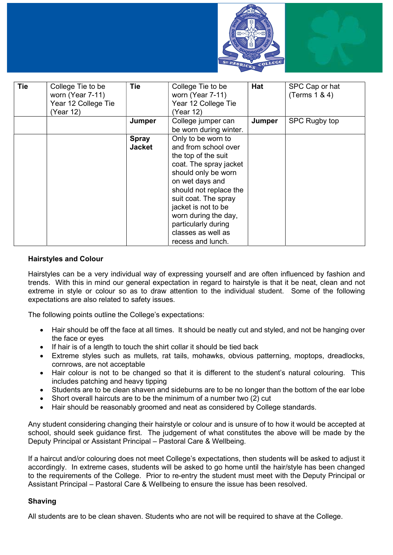



| <b>Tie</b> | College Tie to be<br>worn (Year 7-11)<br>Year 12 College Tie<br>(Year 12) | <b>Tie</b>                    | College Tie to be<br>worn (Year 7-11)<br>Year 12 College Tie<br>(Year 12)                                                                                                                                                                                                                                | Hat    | SPC Cap or hat<br>(Terms $1 & 4$ ) |
|------------|---------------------------------------------------------------------------|-------------------------------|----------------------------------------------------------------------------------------------------------------------------------------------------------------------------------------------------------------------------------------------------------------------------------------------------------|--------|------------------------------------|
|            |                                                                           | Jumper                        | College jumper can<br>be worn during winter.                                                                                                                                                                                                                                                             | Jumper | SPC Rugby top                      |
|            |                                                                           | <b>Spray</b><br><b>Jacket</b> | Only to be worn to<br>and from school over<br>the top of the suit<br>coat. The spray jacket<br>should only be worn<br>on wet days and<br>should not replace the<br>suit coat. The spray<br>jacket is not to be<br>worn during the day,<br>particularly during<br>classes as well as<br>recess and lunch. |        |                                    |

## Hairstyles and Colour

Hairstyles can be a very individual way of expressing yourself and are often influenced by fashion and trends. With this in mind our general expectation in regard to hairstyle is that it be neat, clean and not extreme in style or colour so as to draw attention to the individual student. Some of the following expectations are also related to safety issues.

The following points outline the College's expectations:

- Hair should be off the face at all times. It should be neatly cut and styled, and not be hanging over the face or eyes
- If hair is of a length to touch the shirt collar it should be tied back
- Extreme styles such as mullets, rat tails, mohawks, obvious patterning, moptops, dreadlocks, cornrows, are not acceptable
- Hair colour is not to be changed so that it is different to the student's natural colouring. This includes patching and heavy tipping
- Students are to be clean shaven and sideburns are to be no longer than the bottom of the ear lobe
- Short overall haircuts are to be the minimum of a number two (2) cut
- Hair should be reasonably groomed and neat as considered by College standards.

Any student considering changing their hairstyle or colour and is unsure of to how it would be accepted at school, should seek guidance first. The judgement of what constitutes the above will be made by the Deputy Principal or Assistant Principal – Pastoral Care & Wellbeing.

If a haircut and/or colouring does not meet College's expectations, then students will be asked to adjust it accordingly. In extreme cases, students will be asked to go home until the hair/style has been changed to the requirements of the College. Prior to re-entry the student must meet with the Deputy Principal or Assistant Principal – Pastoral Care & Wellbeing to ensure the issue has been resolved.

## Shaving

All students are to be clean shaven. Students who are not will be required to shave at the College.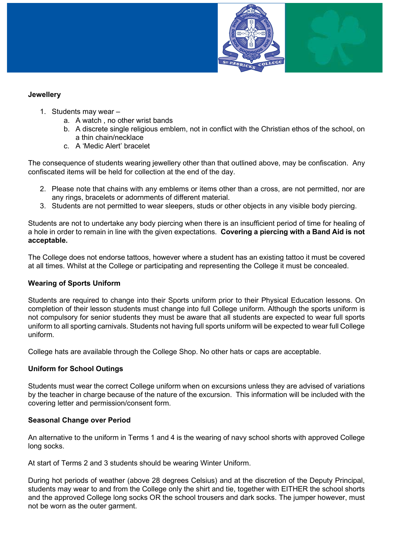

# **Jewellery**

- 1. Students may wear
	- a. A watch , no other wrist bands
	- b. A discrete single religious emblem, not in conflict with the Christian ethos of the school, on a thin chain/necklace
	- c. A 'Medic Alert' bracelet

The consequence of students wearing jewellery other than that outlined above, may be confiscation. Any confiscated items will be held for collection at the end of the day.

- 2. Please note that chains with any emblems or items other than a cross, are not permitted, nor are any rings, bracelets or adornments of different material.
- 3. Students are not permitted to wear sleepers, studs or other objects in any visible body piercing.

Students are not to undertake any body piercing when there is an insufficient period of time for healing of a hole in order to remain in line with the given expectations. Covering a piercing with a Band Aid is not acceptable.

The College does not endorse tattoos, however where a student has an existing tattoo it must be covered at all times. Whilst at the College or participating and representing the College it must be concealed.

## Wearing of Sports Uniform

Students are required to change into their Sports uniform prior to their Physical Education lessons. On completion of their lesson students must change into full College uniform. Although the sports uniform is not compulsory for senior students they must be aware that all students are expected to wear full sports uniform to all sporting carnivals. Students not having full sports uniform will be expected to wear full College uniform.

College hats are available through the College Shop. No other hats or caps are acceptable.

# Uniform for School Outings

Students must wear the correct College uniform when on excursions unless they are advised of variations by the teacher in charge because of the nature of the excursion. This information will be included with the covering letter and permission/consent form.

## Seasonal Change over Period

An alternative to the uniform in Terms 1 and 4 is the wearing of navy school shorts with approved College long socks.

At start of Terms 2 and 3 students should be wearing Winter Uniform.

During hot periods of weather (above 28 degrees Celsius) and at the discretion of the Deputy Principal, students may wear to and from the College only the shirt and tie, together with EITHER the school shorts and the approved College long socks OR the school trousers and dark socks. The jumper however, must not be worn as the outer garment.